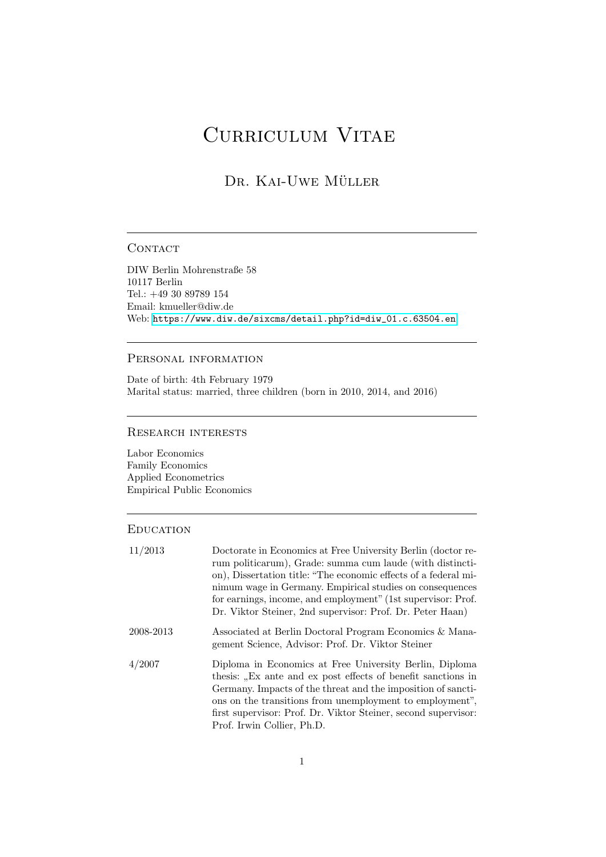# CURRICULUM VITAE

# DR. KAI-UWE MÜLLER

#### **CONTACT**

DIW Berlin Mohrenstraße 58 10117 Berlin Tel.: +49 30 89789 154 Email: kmueller@diw.de Web: [https://www.diw.de/sixcms/detail.php?id=diw\\_01.c.63504.en](https://www.diw.de/sixcms/detail.php?id=diw_01.c.63504.en)

#### Personal information

Date of birth: 4th February 1979 Marital status: married, three children (born in 2010, 2014, and 2016)

#### Research interests

Labor Economics Family Economics Applied Econometrics Empirical Public Economics

#### **EDUCATION**

| 11/2013   | Doctorate in Economics at Free University Berlin (doctor re-<br>rum politicarum), Grade: summa cum laude (with distincti-<br>on), Dissertation title: "The economic effects of a federal mi-<br>nimum wage in Germany. Empirical studies on consequences<br>for earnings, income, and employment" (1st supervisor: Prof.<br>Dr. Viktor Steiner, 2nd supervisor: Prof. Dr. Peter Haan) |
|-----------|---------------------------------------------------------------------------------------------------------------------------------------------------------------------------------------------------------------------------------------------------------------------------------------------------------------------------------------------------------------------------------------|
| 2008-2013 | Associated at Berlin Doctoral Program Economics & Mana-<br>gement Science, Advisor: Prof. Dr. Viktor Steiner                                                                                                                                                                                                                                                                          |
| 4/2007    | Diploma in Economics at Free University Berlin, Diploma<br>thesis: "Ex ante and ex post effects of benefit sanctions in<br>Germany. Impacts of the threat and the imposition of sancti-<br>ons on the transitions from unemployment to employment",<br>first supervisor: Prof. Dr. Viktor Steiner, second supervisor:<br>Prof. Irwin Collier, Ph.D.                                   |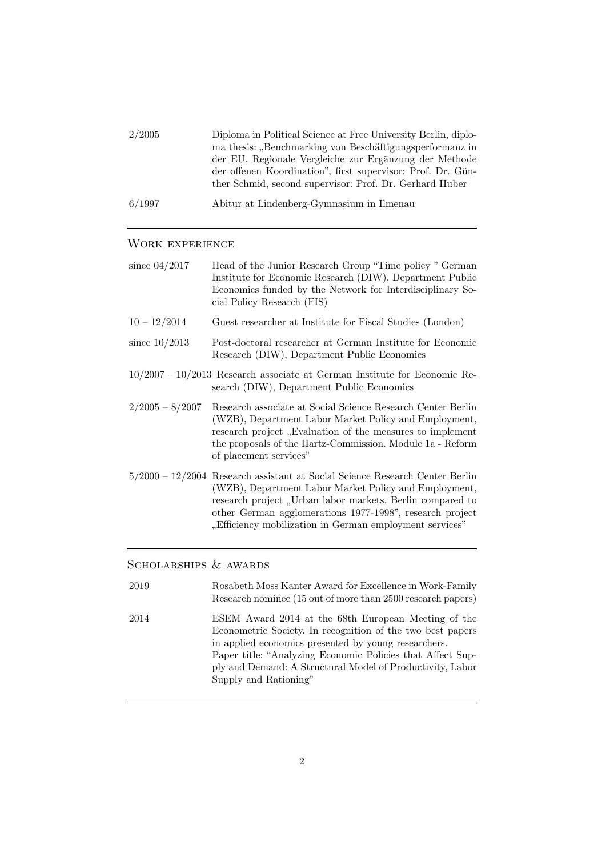| 2/2005 | Diploma in Political Science at Free University Berlin, diplo-<br>ma thesis: "Benchmarking von Beschäftigungsperformanz in<br>der EU. Regionale Vergleiche zur Ergänzung der Methode<br>der offenen Koordination", first supervisor: Prof. Dr. Gün-<br>ther Schmid, second supervisor: Prof. Dr. Gerhard Huber |
|--------|----------------------------------------------------------------------------------------------------------------------------------------------------------------------------------------------------------------------------------------------------------------------------------------------------------------|
| 6/1997 | Abitur at Lindenberg-Gymnasium in Ilmenau                                                                                                                                                                                                                                                                      |

## WORK EXPERIENCE

| since $04/2017$   | Head of the Junior Research Group "Time policy " German<br>Institute for Economic Research (DIW), Department Public<br>Economics funded by the Network for Interdisciplinary So-<br>cial Policy Research (FIS)                                                                                                              |
|-------------------|-----------------------------------------------------------------------------------------------------------------------------------------------------------------------------------------------------------------------------------------------------------------------------------------------------------------------------|
| $10 - 12/2014$    | Guest researcher at Institute for Fiscal Studies (London)                                                                                                                                                                                                                                                                   |
| since $10/2013$   | Post-doctoral researcher at German Institute for Economic<br>Research (DIW), Department Public Economics                                                                                                                                                                                                                    |
|                   | $10/2007 - 10/2013$ Research associate at German Institute for Economic Re-<br>search (DIW), Department Public Economics                                                                                                                                                                                                    |
| $2/2005 - 8/2007$ | Research associate at Social Science Research Center Berlin<br>(WZB), Department Labor Market Policy and Employment,<br>research project, Evaluation of the measures to implement<br>the proposals of the Hartz-Commission. Module 1a - Reform<br>of placement services"                                                    |
|                   | $5/2000 - 12/2004$ Research assistant at Social Science Research Center Berlin<br>(WZB), Department Labor Market Policy and Employment,<br>research project, Urban labor markets. Berlin compared to<br>other German agglomerations 1977-1998", research project<br>"Efficiency mobilization in German employment services" |

# SCHOLARSHIPS & AWARDS

| 2019 | Rosabeth Moss Kanter Award for Excellence in Work-Family<br>Research nominee (15 out of more than 2500 research papers)                                                                                                                                                                                                       |
|------|-------------------------------------------------------------------------------------------------------------------------------------------------------------------------------------------------------------------------------------------------------------------------------------------------------------------------------|
| 2014 | ESEM Award 2014 at the 68th European Meeting of the<br>Econometric Society. In recognition of the two best papers<br>in applied economics presented by young researchers.<br>Paper title: "Analyzing Economic Policies that Affect Sup-<br>ply and Demand: A Structural Model of Productivity, Labor<br>Supply and Rationing" |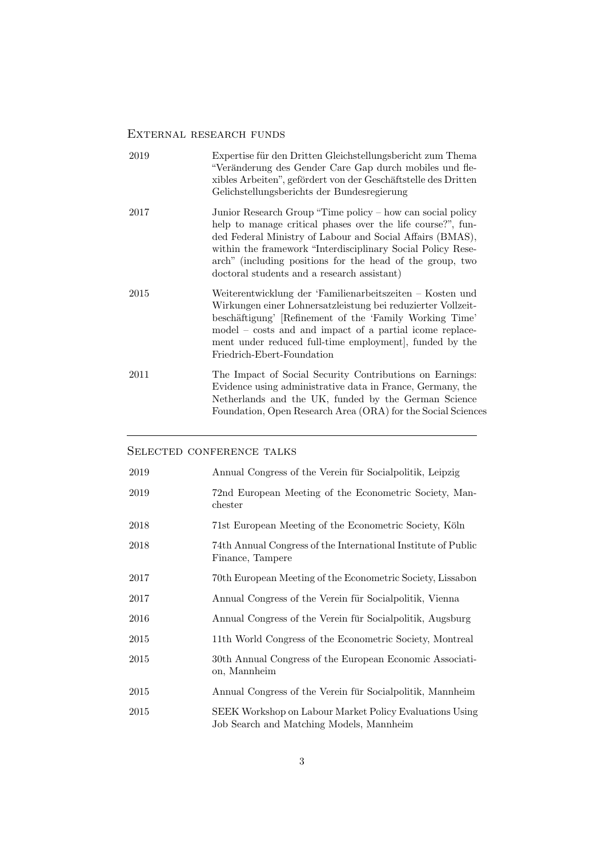# External research funds

| 2019 | Expertise für den Dritten Gleichstellungsbericht zum Thema<br>"Veränderung des Gender Care Gap durch mobiles und fle-<br>xibles Arbeiten", gefördert von der Geschäftstelle des Dritten<br>Gelichstellungsberichts der Bundesregierung                                                                                                                            |
|------|-------------------------------------------------------------------------------------------------------------------------------------------------------------------------------------------------------------------------------------------------------------------------------------------------------------------------------------------------------------------|
| 2017 | Junior Research Group "Time policy – how can social policy<br>help to manage critical phases over the life course?", fun-<br>ded Federal Ministry of Labour and Social Affairs (BMAS),<br>within the framework "Interdisciplinary Social Policy Rese-<br>arch" (including positions for the head of the group, two<br>doctoral students and a research assistant) |
| 2015 | Weiterentwicklung der 'Familienarbeitszeiten – Kosten und<br>Wirkungen einer Lohnersatzleistung bei reduzierter Vollzeit-<br>beschäftigung' [Refinement of the 'Family Working Time'<br>model – costs and and impact of a partial icome replace-<br>ment under reduced full-time employment, funded by the<br>Friedrich-Ebert-Foundation                          |
| 2011 | The Impact of Social Security Contributions on Earnings:<br>Evidence using administrative data in France, Germany, the<br>Netherlands and the UK, funded by the German Science<br>Foundation, Open Research Area (ORA) for the Social Sciences                                                                                                                    |

### SELECTED CONFERENCE TALKS

| 2019     | Annual Congress of the Verein für Socialpolitik, Leipzig                                            |
|----------|-----------------------------------------------------------------------------------------------------|
| 2019     | 72nd European Meeting of the Econometric Society, Man-<br>chester                                   |
| 2018     | 71st European Meeting of the Econometric Society, Köln                                              |
| 2018     | 74th Annual Congress of the International Institute of Public<br>Finance, Tampere                   |
| $2017\,$ | 70th European Meeting of the Econometric Society, Lissabon                                          |
| $2017\,$ | Annual Congress of the Verein für Socialpolitik, Vienna                                             |
| 2016     | Annual Congress of the Verein für Socialpolitik, Augsburg                                           |
| $2015\,$ | 11th World Congress of the Econometric Society, Montreal                                            |
| $2015\,$ | 30th Annual Congress of the European Economic Associati-<br>on, Mannheim                            |
| 2015     | Annual Congress of the Verein für Socialpolitik, Mannheim                                           |
| 2015     | SEEK Workshop on Labour Market Policy Evaluations Using<br>Job Search and Matching Models, Mannheim |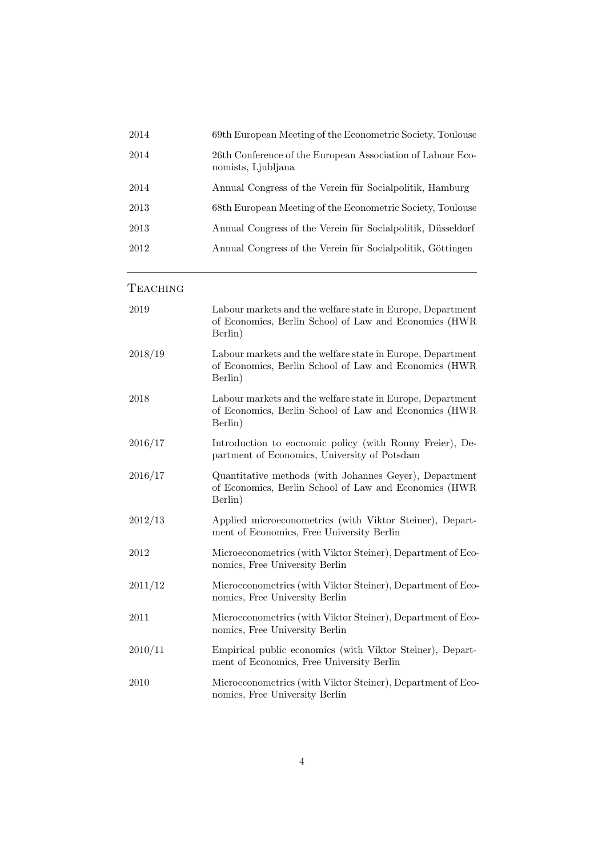| 2014 | 69th European Meeting of the Econometric Society, Toulouse                       |
|------|----------------------------------------------------------------------------------|
| 2014 | 26th Conference of the European Association of Labour Eco-<br>nomists, Ljubljana |
| 2014 | Annual Congress of the Verein für Socialpolitik, Hamburg                         |
| 2013 | 68th European Meeting of the Econometric Society, Toulouse                       |
| 2013 | Annual Congress of the Verein für Socialpolitik, Düsseldorf                      |
| 2012 | Annual Congress of the Verein für Socialpolitik, Göttingen                       |
|      |                                                                                  |

**TEACHING** 

| 2019    | Labour markets and the welfare state in Europe, Department<br>of Economics, Berlin School of Law and Economics (HWR<br>Berlin) |
|---------|--------------------------------------------------------------------------------------------------------------------------------|
| 2018/19 | Labour markets and the welfare state in Europe, Department<br>of Economics, Berlin School of Law and Economics (HWR<br>Berlin) |
| 2018    | Labour markets and the welfare state in Europe, Department<br>of Economics, Berlin School of Law and Economics (HWR<br>Berlin) |
| 2016/17 | Introduction to eocnomic policy (with Ronny Freier), De-<br>partment of Economics, University of Potsdam                       |
| 2016/17 | Quantitative methods (with Johannes Geyer), Department<br>of Economics, Berlin School of Law and Economics (HWR<br>Berlin)     |
| 2012/13 | Applied microeconometrics (with Viktor Steiner), Depart-<br>ment of Economics, Free University Berlin                          |
| 2012    | Microeconometrics (with Viktor Steiner), Department of Eco-<br>nomics, Free University Berlin                                  |
| 2011/12 | Microeconometrics (with Viktor Steiner), Department of Eco-<br>nomics, Free University Berlin                                  |
| 2011    | Microeconometrics (with Viktor Steiner), Department of Eco-<br>nomics, Free University Berlin                                  |
| 2010/11 | Empirical public economics (with Viktor Steiner), Depart-<br>ment of Economics, Free University Berlin                         |
| 2010    | Microeconometrics (with Viktor Steiner), Department of Eco-<br>nomics, Free University Berlin                                  |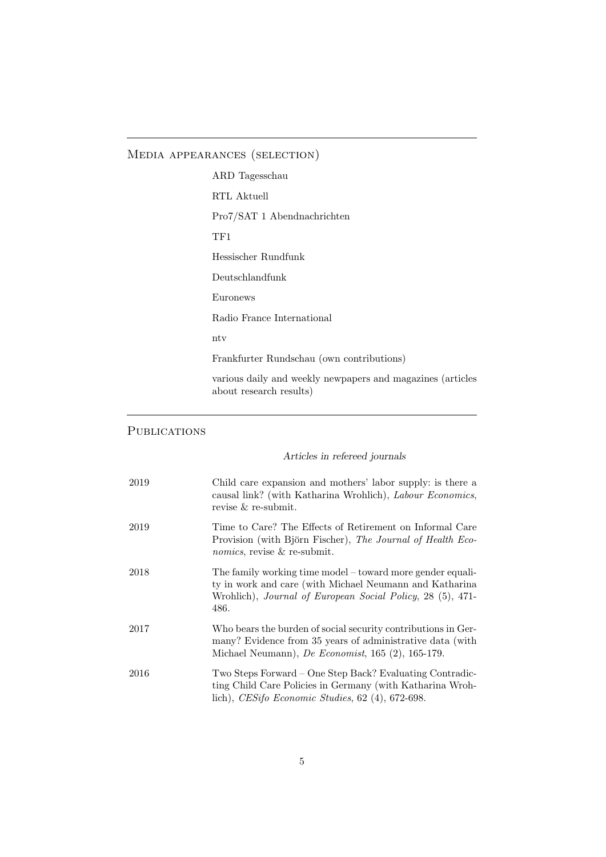# Media appearances (selection)

| ARD Tagesschau                                                                        |
|---------------------------------------------------------------------------------------|
| RTL Aktuell                                                                           |
| Pro7/SAT 1 Abendnachrichten                                                           |
| TF1                                                                                   |
| Hessischer Rundfunk                                                                   |
| Deutschlandfunk                                                                       |
| Euronews                                                                              |
| Radio France International                                                            |
| nty                                                                                   |
| Frankfurter Rundschau (own contributions)                                             |
| various daily and weekly newpapers and magazines (articles<br>about research results) |

# **PUBLICATIONS**

## Articles in refereed journals

| 2019 | Child care expansion and mothers' labor supply: is there a<br>causal link? (with Katharina Wrohlich), Labour Economics,<br>revise & re-submit.                                              |
|------|---------------------------------------------------------------------------------------------------------------------------------------------------------------------------------------------|
| 2019 | Time to Care? The Effects of Retirement on Informal Care<br>Provision (with Björn Fischer), The Journal of Health Eco-<br><i>nomics</i> , revise & re-submit.                               |
| 2018 | The family working time model – toward more gender equali-<br>ty in work and care (with Michael Neumann and Katharina<br>Wrohlich), Journal of European Social Policy, 28 (5), 471-<br>486. |
| 2017 | Who bears the burden of social security contributions in Ger-<br>many? Evidence from 35 years of administrative data (with<br>Michael Neumann), De Economist, 165 $(2)$ , 165-179.          |
| 2016 | Two Steps Forward – One Step Back? Evaluating Contradic-<br>ting Child Care Policies in Germany (with Katharina Wroh-<br>lich), CESifo Economic Studies, $62$ (4), $672-698$ .              |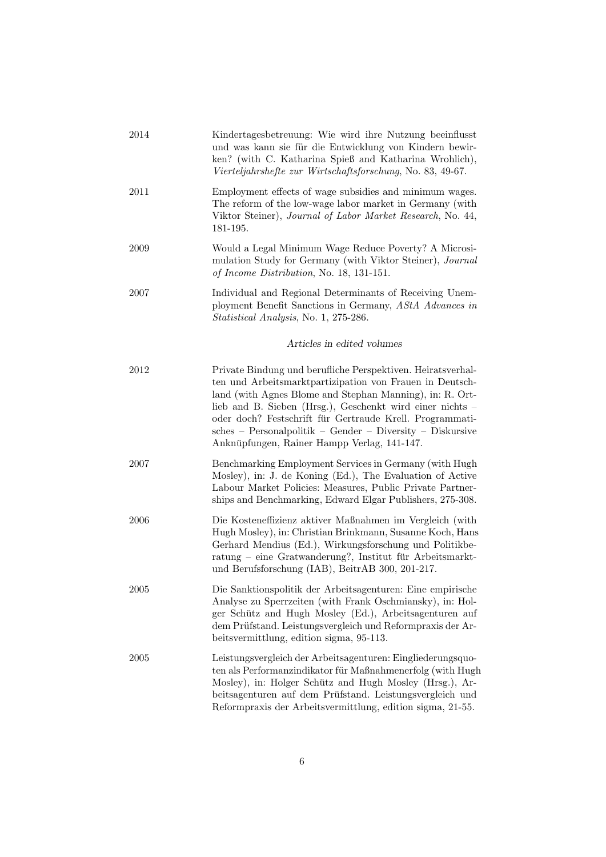| 2014       | Kindertagesbetreuung: Wie wird ihre Nutzung beeinflusst<br>und was kann sie für die Entwicklung von Kindern bewir-<br>ken? (with C. Katharina Spieß and Katharina Wrohlich),<br>Vierteljahrshefte zur Wirtschaftsforschung, No. 83, 49-67.                                                                                                                                                                                 |
|------------|----------------------------------------------------------------------------------------------------------------------------------------------------------------------------------------------------------------------------------------------------------------------------------------------------------------------------------------------------------------------------------------------------------------------------|
| 2011       | Employment effects of wage subsidies and minimum wages.<br>The reform of the low-wage labor market in Germany (with<br>Viktor Steiner), Journal of Labor Market Research, No. 44,<br>181-195.                                                                                                                                                                                                                              |
| 2009       | Would a Legal Minimum Wage Reduce Poverty? A Microsi-<br>mulation Study for Germany (with Viktor Steiner), Journal<br>of Income Distribution, No. 18, 131-151.                                                                                                                                                                                                                                                             |
| 2007       | Individual and Regional Determinants of Receiving Unem-<br>ployment Benefit Sanctions in Germany, AStA Advances in<br><i>Statistical Analysis</i> , No. 1, 275-286.                                                                                                                                                                                                                                                        |
|            | Articles in edited volumes                                                                                                                                                                                                                                                                                                                                                                                                 |
| 2012       | Private Bindung und berufliche Perspektiven. Heiratsverhal-<br>ten und Arbeitsmarktpartizipation von Frauen in Deutsch-<br>land (with Agnes Blome and Stephan Manning), in: R. Ort-<br>lieb and B. Sieben (Hrsg.), Geschenkt wird einer nichts –<br>oder doch? Festschrift für Gertraude Krell. Programmati-<br>$sches - Personalpolitik - Gender - Diversity - Diskursive$<br>Anknüpfungen, Rainer Hampp Verlag, 141-147. |
| 2007       | Benchmarking Employment Services in Germany (with Hugh<br>Mosley), in: J. de Koning (Ed.), The Evaluation of Active<br>Labour Market Policies: Measures, Public Private Partner-<br>ships and Benchmarking, Edward Elgar Publishers, 275-308.                                                                                                                                                                              |
| 2006       | Die Kosteneffizienz aktiver Maßnahmen im Vergleich (with<br>Hugh Mosley), in: Christian Brinkmann, Susanne Koch, Hans<br>Gerhard Mendius (Ed.), Wirkungsforschung und Politikbe-<br>ratung – eine Gratwanderung?, Institut für Arbeitsmarkt-<br>und Berufsforschung (IAB), BeitrAB 300, 201-217.                                                                                                                           |
| $\,2005\,$ | Die Sanktionspolitik der Arbeitsagenturen: Eine empirische<br>Analyse zu Sperrzeiten (with Frank Oschmiansky), in: Hol-<br>ger Schütz and Hugh Mosley (Ed.), Arbeitsagenturen auf<br>dem Prüfstand. Leistungsvergleich und Reformpraxis der Ar-<br>beitsvermittlung, edition sigma, 95-113.                                                                                                                                |
| 2005       | Leistungsvergleich der Arbeitsagenturen: Eingliederungsquo-<br>ten als Performanzindikator für Maßnahmenerfolg (with Hugh<br>Mosley), in: Holger Schütz and Hugh Mosley (Hrsg.), Ar-<br>beitsagenturen auf dem Prüfstand. Leistungsvergleich und<br>Reformpraxis der Arbeitsvermittlung, edition sigma, 21-55.                                                                                                             |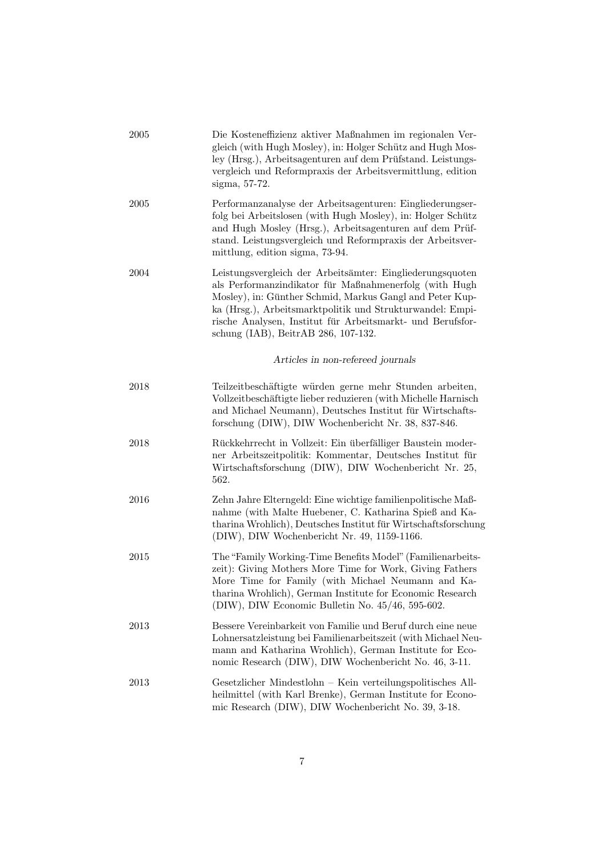| 2005 | Die Kosteneffizienz aktiver Maßnahmen im regionalen Ver-<br>gleich (with Hugh Mosley), in: Holger Schütz and Hugh Mos-<br>ley (Hrsg.), Arbeitsagenturen auf dem Prüfstand. Leistungs-<br>vergleich und Reformpraxis der Arbeitsvermittlung, edition<br>sigma, 57-72.                                                                              |
|------|---------------------------------------------------------------------------------------------------------------------------------------------------------------------------------------------------------------------------------------------------------------------------------------------------------------------------------------------------|
| 2005 | Performanzanalyse der Arbeitsagenturen: Eingliederungser-<br>folg bei Arbeitslosen (with Hugh Mosley), in: Holger Schütz<br>and Hugh Mosley (Hrsg.), Arbeitsagenturen auf dem Prüf-<br>stand. Leistungsvergleich und Reformpraxis der Arbeitsver-<br>mittlung, edition sigma, 73-94.                                                              |
| 2004 | Leistungsvergleich der Arbeitsämter: Eingliederungsquoten<br>als Performanzindikator für Maßnahmenerfolg (with Hugh<br>Mosley), in: Günther Schmid, Markus Gangl and Peter Kup-<br>ka (Hrsg.), Arbeitsmarktpolitik und Strukturwandel: Empi-<br>rische Analysen, Institut für Arbeitsmarkt- und Berufsfor-<br>schung (IAB), BeitrAB 286, 107-132. |
|      | Articles in non-refereed journals                                                                                                                                                                                                                                                                                                                 |
| 2018 | Teilzeitbeschäftigte würden gerne mehr Stunden arbeiten,<br>Vollzeitbeschäftigte lieber reduzieren (with Michelle Harnisch<br>and Michael Neumann), Deutsches Institut für Wirtschafts-<br>forschung (DIW), DIW Wochenbericht Nr. 38, 837-846.                                                                                                    |
| 2018 | Rückkehrrecht in Vollzeit: Ein überfälliger Baustein moder-<br>ner Arbeitszeitpolitik: Kommentar, Deutsches Institut für<br>Wirtschaftsforschung (DIW), DIW Wochenbericht Nr. 25,<br>562.                                                                                                                                                         |
| 2016 | Zehn Jahre Elterngeld: Eine wichtige familienpolitische Maß-<br>nahme (with Malte Huebener, C. Katharina Spieß and Ka-<br>tharina Wrohlich), Deutsches Institut für Wirtschaftsforschung<br>(DIW), DIW Wochenbericht Nr. 49, 1159-1166.                                                                                                           |
| 2015 | The "Family Working-Time Benefits Model" (Familienarbeits-<br>zeit): Giving Mothers More Time for Work, Giving Fathers<br>More Time for Family (with Michael Neumann and Ka-<br>tharina Wrohlich), German Institute for Economic Research<br>(DIW), DIW Economic Bulletin No. $45/46$ , 595-602.                                                  |
| 2013 | Bessere Vereinbarkeit von Familie und Beruf durch eine neue<br>Lohnersatzleistung bei Familienarbeitszeit (with Michael Neu-<br>mann and Katharina Wrohlich), German Institute for Eco-<br>nomic Research (DIW), DIW Wochenbericht No. 46, 3-11.                                                                                                  |
| 2013 | Gesetzlicher Mindestlohn – Kein verteilungspolitisches All-<br>heilmittel (with Karl Brenke), German Institute for Econo-<br>mic Research (DIW), DIW Wochenbericht No. 39, 3-18.                                                                                                                                                                  |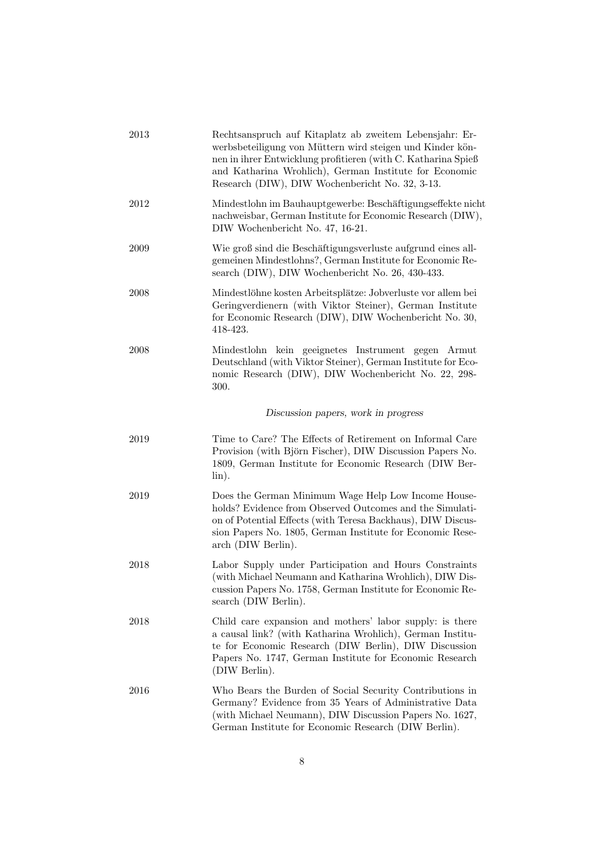| 2013 | Rechtsanspruch auf Kitaplatz ab zweitem Lebensjahr: Er-<br>werbsbeteiligung von Müttern wird steigen und Kinder kön-<br>nen in ihrer Entwicklung profitieren (with C. Katharina Spieß<br>and Katharina Wrohlich), German Institute for Economic<br>Research (DIW), DIW Wochenbericht No. 32, 3-13. |
|------|----------------------------------------------------------------------------------------------------------------------------------------------------------------------------------------------------------------------------------------------------------------------------------------------------|
| 2012 | Mindestlohn im Bauhauptgewerbe: Beschäftigungseffekte nicht<br>nachweisbar, German Institute for Economic Research (DIW),<br>DIW Wochenbericht No. 47, 16-21.                                                                                                                                      |
| 2009 | Wie groß sind die Beschäftigungsverluste aufgrund eines all-<br>gemeinen Mindestlohns?, German Institute for Economic Re-<br>search (DIW), DIW Wochenbericht No. 26, 430-433.                                                                                                                      |
| 2008 | Mindestlöhne kosten Arbeitsplätze: Jobverluste vor allem bei<br>Geringverdienern (with Viktor Steiner), German Institute<br>for Economic Research (DIW), DIW Wochenbericht No. 30,<br>418-423.                                                                                                     |
| 2008 | Mindestlohn kein geeignetes Instrument gegen<br>Armut<br>Deutschland (with Viktor Steiner), German Institute for Eco-<br>nomic Research (DIW), DIW Wochenbericht No. 22, 298-<br>300.                                                                                                              |
|      | Discussion papers, work in progress                                                                                                                                                                                                                                                                |
| 2019 | Time to Care? The Effects of Retirement on Informal Care<br>Provision (with Björn Fischer), DIW Discussion Papers No.<br>1809, German Institute for Economic Research (DIW Ber-<br>$\lim$ .                                                                                                        |
| 2019 | Does the German Minimum Wage Help Low Income House-<br>holds? Evidence from Observed Outcomes and the Simulati-<br>on of Potential Effects (with Teresa Backhaus), DIW Discus-<br>sion Papers No. 1805, German Institute for Economic Rese-<br>arch (DIW Berlin).                                  |
| 2018 | Labor Supply under Participation and Hours Constraints<br>(with Michael Neumann and Katharina Wrohlich), DIW Dis-<br>cussion Papers No. 1758, German Institute for Economic Re-<br>search (DIW Berlin).                                                                                            |
| 2018 | Child care expansion and mothers' labor supply: is there<br>a causal link? (with Katharina Wrohlich), German Institu-<br>te for Economic Research (DIW Berlin), DIW Discussion<br>Papers No. 1747, German Institute for Economic Research<br>(DIW Berlin).                                         |
| 2016 | Who Bears the Burden of Social Security Contributions in<br>Germany? Evidence from 35 Years of Administrative Data<br>(with Michael Neumann), DIW Discussion Papers No. 1627,<br>German Institute for Economic Research (DIW Berlin).                                                              |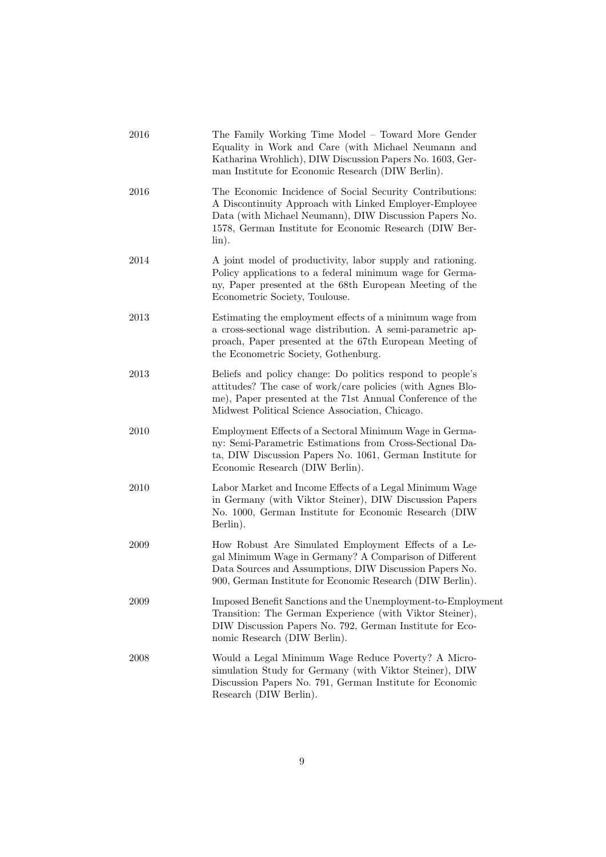| 2016 | The Family Working Time Model – Toward More Gender<br>Equality in Work and Care (with Michael Neumann and<br>Katharina Wrohlich), DIW Discussion Papers No. 1603, Ger-<br>man Institute for Economic Research (DIW Berlin).                        |
|------|----------------------------------------------------------------------------------------------------------------------------------------------------------------------------------------------------------------------------------------------------|
| 2016 | The Economic Incidence of Social Security Contributions:<br>A Discontinuity Approach with Linked Employer-Employee<br>Data (with Michael Neumann), DIW Discussion Papers No.<br>1578, German Institute for Economic Research (DIW Ber-<br>$\lim$ . |
| 2014 | A joint model of productivity, labor supply and rationing.<br>Policy applications to a federal minimum wage for Germa-<br>ny, Paper presented at the 68th European Meeting of the<br>Econometric Society, Toulouse.                                |
| 2013 | Estimating the employment effects of a minimum wage from<br>a cross-sectional wage distribution. A semi-parametric ap-<br>proach, Paper presented at the 67th European Meeting of<br>the Econometric Society, Gothenburg.                          |
| 2013 | Beliefs and policy change: Do politics respond to people's<br>attitudes? The case of work/care policies (with Agnes Blo-<br>me), Paper presented at the 71st Annual Conference of the<br>Midwest Political Science Association, Chicago.           |
| 2010 | Employment Effects of a Sectoral Minimum Wage in Germa-<br>ny: Semi-Parametric Estimations from Cross-Sectional Da-<br>ta, DIW Discussion Papers No. 1061, German Institute for<br>Economic Research (DIW Berlin).                                 |
| 2010 | Labor Market and Income Effects of a Legal Minimum Wage<br>in Germany (with Viktor Steiner), DIW Discussion Papers<br>No. 1000, German Institute for Economic Research (DIW)<br>Berlin).                                                           |
| 2009 | How Robust Are Simulated Employment Effects of a Le-<br>gal Minimum Wage in Germany? A Comparison of Different<br>Data Sources and Assumptions, DIW Discussion Papers No.<br>900, German Institute for Economic Research (DIW Berlin).             |
| 2009 | Imposed Benefit Sanctions and the Unemployment-to-Employment<br>Transition: The German Experience (with Viktor Steiner),<br>DIW Discussion Papers No. 792, German Institute for Eco-<br>nomic Research (DIW Berlin).                               |
| 2008 | Would a Legal Minimum Wage Reduce Poverty? A Micro-<br>simulation Study for Germany (with Viktor Steiner), DIW<br>Discussion Papers No. 791, German Institute for Economic<br>Research (DIW Berlin).                                               |